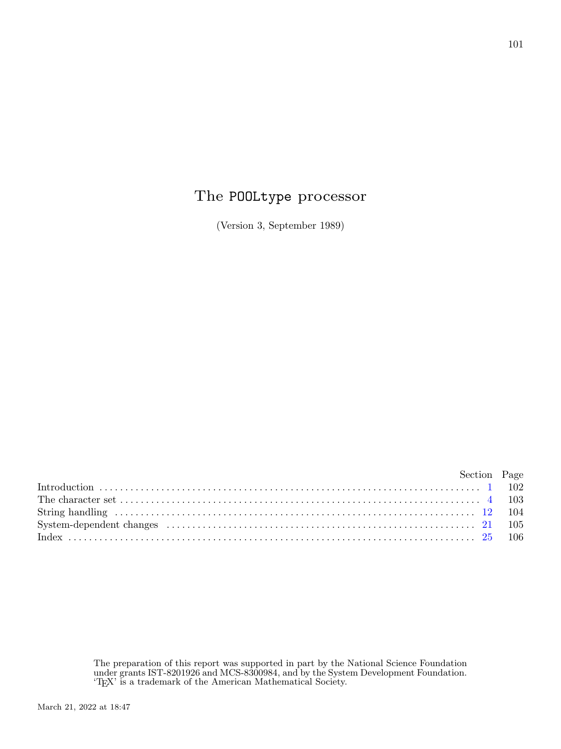## The POOLtype processor

(Version 3, September 1989)

| Section Page |  |
|--------------|--|
|              |  |
|              |  |
|              |  |
|              |  |
|              |  |

The preparation of this report was supported in part by the National Science Foundation under grants IST-8201926 and MCS-8300984, and by the System Development Foundation. 'TEX' is a trademark of the American Mathematical Society.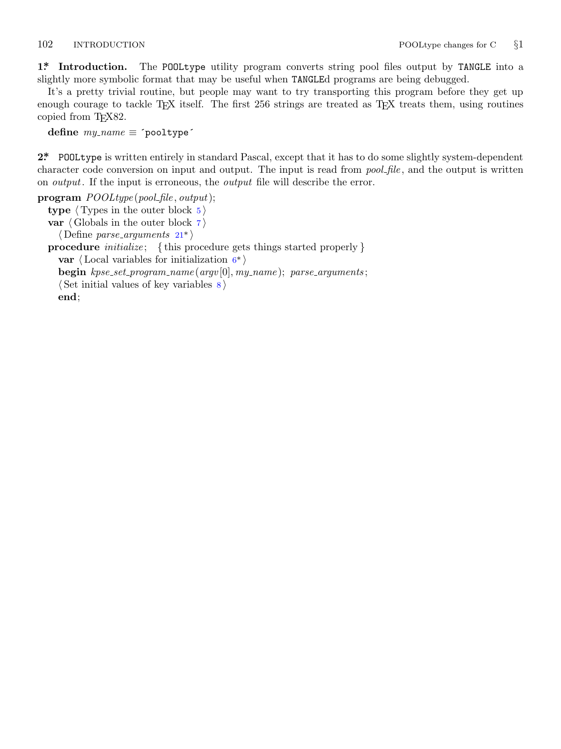<span id="page-1-0"></span>

**1\*. Introduction.** The POOLtype utility program converts string pool files output by TANGLE into a slightly more symbolic format that may be useful when TANGLEd programs are being debugged.

It's a pretty trivial routine, but people may want to try transporting this program before they get up enough courage to tackle T<sub>E</sub>X itself. The first 256 strings are treated as T<sub>E</sub>X treats them, using routines copied from T<sub>E</sub>X82.

**define** *my name ≡* ´pooltype´

**2\*.** POOLtype is written entir[ely](#page-4-0) in standard Pascal, except that it has to do some slightly system-dependent character code conversion on input and output. The input is read from *pool file* , and the output is written on *output*. If the input is erroneous, the *o[ut](#page-2-0)put* file will describe the error.

**program** *POOLtype* (*pool file , output*);

**type**  $\langle$  Types in the outer block  $5 \rangle$ **var** *⟨* Globals in the outer block 7 *⟩ ⟨* Define *parse arguments* 21\* *⟩* **procedure** *initialize* ; *{* this procedure gets things started properly *}* **var** *⟨* Local variables for initialization 6\* *⟩* **begin** *kpse set program name* (*argv* [0]*, my name* ); *parse arguments* ;

*⟨* Set initial values of key variables 8 *⟩*

**end**;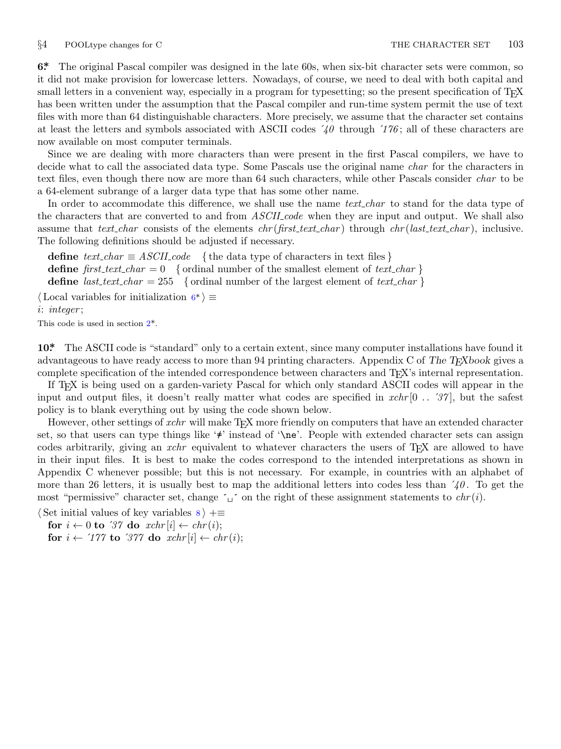<span id="page-2-0"></span>

**6\*.** The original Pascal compiler was designed in the late 60s, when six-bit character sets were common, so it did not make provision for lowercase letters. Nowadays, of course, we need to deal with both capital and small letters in a convenient way, especially in a program for typesetting; so the present specification of T<sub>E</sub>X has been written under the assumption that the Pascal compiler and run-time system permit the use of text files with more than 64 distinguishable characters. More precisely, we assume that the character set contains at least the letters and symbols associated with ASCII codes ´*40* through ´*176* ; all of these characters are now available on most computer terminals.

Since we are dealing with more characters than were present in the first Pascal compilers, we have to decide what to call the associated data type. Some Pascals use the original name *char* for the characters in text files, even though there now are more than 64 such characters, while other Pascals consider *char* to be a 64-element subrange of a larger data type that has some other name.

In order to accommodate this difference, we shall use the name *text* char to stand for the data type of the characters that are converted to and from *ASCII code* when they are input and output. We shall also assume that *text char* consists of the elements *chr* (*first text char* ) through *chr* (*last text char* ), inclusive. The following definition[s](#page-1-0) should be adjusted if necessary.

**define**  $text\_text\_char \equiv ASCII\_code$  {the data type of characters in text files } **define**  $first\_text\_char = 0$  {ordinal number of the smallest element of  $text\_char \}$ } **define** *last\_text\_char* = 255 { ordinal number of the largest element of *text\_char* } *⟨* Local variables for initialization 6\* *⟩ ≡*

*i*: *integer* ;

This code is used in section 2\*.

**10\*.** The ASCII code is "standard" only to a certain extent, since many computer installations have found it advantageous to have ready access to more than 94 printing characters. Appendix C of *The TEXbook* gives a complete specification of the intended correspondence between characters and TEX's internal representation.

If TEX is being used on a garden-variety Pascal for which only standard ASCII codes will appear in the input and output files, it doesn't really matter what codes are specified in *xchr* [0 *. .* ´*37* ], but the safest policy is to blank everything out by using the code shown below.

However, other settings of *xchr* will make T<sub>E</sub>X more friendly on computers that have an extended character set, so that users can type things like '≠' instead of '\ne'. People with extended character sets can assign codes arbitrarily, giving an *xchr* equivalent to whatever characters the users of T<sub>E</sub>X are allowed to have in their input files. It is best to make the codes correspond to the intended interpretations as shown in Appendix C whenever possible; but this is not necessary. For example, in countries with an alphabet of more than 26 letters, it is usually best to map the additional letters into codes less than ´*40* . To get the most "permissive" character set, change  $\sim \sim \infty$ " on the right of these assignment statements to *chr* $(i)$ .

*⟨* Set initial values of key variables 8 *⟩* +*≡*

**for**  $i \leftarrow 0$  **to** '37 **do**  $xchr[i] \leftarrow chr(i);$ 

**for**  $i \leftarrow \text{'}177$  **to**  $\text{'}377$  **do**  $\text{cchr}[i] \leftarrow \text{chr}(i);$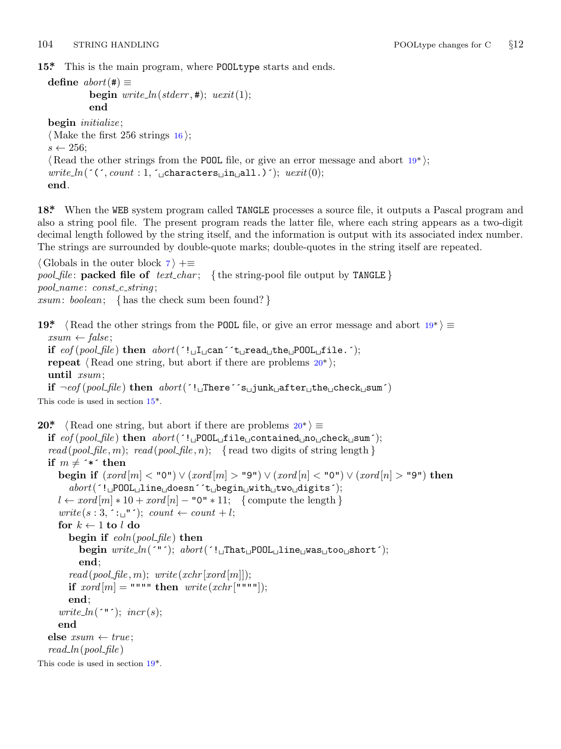<span id="page-3-0"></span>

**15\*.** This is the main program, where POOLtype starts and ends.

```
define abort (#) \equivbegin write\_ln(staterr, 1); uexit(1);end
```

```
begin initialize ;
⟨ Make the first 256 strings 16 ⟩;
s \leftarrow 256;
⟨ Read the other strings from the POOL file, or give an error message and abort 19* ⟩;
write\_ln( (\cdot, count : 1, \cdot<sub>□</sub>characters<sub>□</sub>in<sub>□</sub>all.)\cdot); \textit{uexit}(0);
end.
```
**18\*.** When the WEB system program called TANGLE processes a source file, it outputs a Pascal program and also a string pool file. The present program reads the latter file, where each string appears as a two-digit decimal length followed by the string itself, and the information is output with its associated index number. The strings are surrounded by double-quote marks; double-quotes in the string itself are repeated.

*⟨* Globals in the outer block 7 *⟩* +*≡ pool\_file*: **packed file of**  $text\_text\_char$ ; {the string-pool file output by TANGLE} *pool name* : *const c string* ; *xsum*: *boolean*; *{* has the check sum been found? *}*

```
19* \langle Read the other strings from the POOL file, or give an error message and abort 19*\rangle ≡xsum ← false ;
  if eof (pool file ) then abort(´!␣I␣can´´t␣read␣the␣POOL␣file.´);
  repeat \langle Read one string, but abort if there are problems 20^*;
  until xsum;
  if ¬eof (pool file ) then abort(´!␣There´´s␣junk␣after␣the␣check␣sum´)
This code is used in section 15*.
```

```
20* \langle Read one string, but abort if there are problems 20^* \equivif eof (pool file ) then abort(´!␣POOL␣file␣contained␣no␣check␣sum´);
  read (pool_file, m); read (pool_file, n); { read two digits of string length }
  if m \neq <sup>*</sup> * then
     begin if (xord [m] < "0") ∨ (xord [m] > "9") ∨ (xord [n] < "0") ∨ (xord [n] > "9") then
       abort(´!␣POOL␣line␣doesn´´t␣begin␣with␣two␣digits´);
     l ← xord [m] ∗ 10 + xord [n] − "0" ∗ 11; { compute the length }
     write(s:3,^{\sim}:~^{\sim}~^{\sim}); count \leftarrow count + l;
     for k \leftarrow 1 to l do
       begin if eoln(pool file ) then
          begin write ln(´"´); abort(´!␣That␣POOL␣line␣was␣too␣short´);
          end;
       read(pool_{\mathcal{I}} file, m); write(xchr[xord[m]]);if \text{zord}[m] = \text{""} then \text{write}(\text{xchr}[\text{""}"]);end;
     write_ln(\lceil "; incr(s);
     end
  else xsum ← true ;
  read ln(pool file )
This code is used in section 19*.
```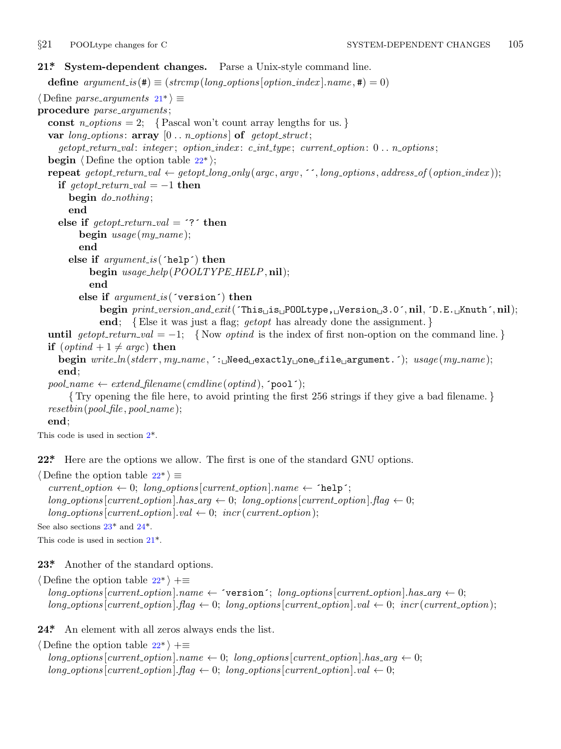<span id="page-4-0"></span>

## **21\*. System-dependent changes.** Parse a Unix-style command line.

**define**  $argument_is(\textbf{\#}) \equiv (strompllong_options[option\_index].name, \textbf{\#}) = 0)$ 

*⟨* Define *parse arguments* 21\* *⟩ ≡*

**procedure** *parse arguments* ;

const  $n\_options = 2$ ; {Pascal won't count array lengths for us. }

**var** *long options* : **array** [0 *. . n options* ] **of** *getopt struct*;

*getopt return val* : *integer* ; *option index* : *c int type* ; *current option*: 0 *. . n options* ;

**begin**  $\langle$  Define the option table  $22^*$   $\rangle$ ;

## **repeat** getopt\_return\_val  $\leftarrow$  getopt\_long\_only(argc, argv, '', long\_options, address\_of(option\_index));

```
if \text{getopt\_return\_val} = -1 then
  begin do nothing ;
```

```
end
```

```
else if \text{getopt}\_\text{return}\_\text{val} = \text{?} then
```

```
begin usage (my name );
```

```
end
```

```
else if argument is (´help´) then
```

```
begin usage help(POOLTYPE HELP, nil);
```

```
end
```
**else if** *argument is* (´version´) **then**

```
begin print version and exit(´This␣is␣POOLtype,␣Version␣3.0´, nil, ´D.E.␣Knuth´, nil);
end; {Else it was just a flag; getopt has already done the assignment. }
```
**until**  $qetopt\_return\_val = -1$ ; {Now *optind* is the index of first non-option on the command line.} **if**  $(\text{optind} + 1 \neq \text{argc})$  **then** 

**begin** *write ln*(*std[er](#page-1-0)r , my name ,* ´:␣Need␣exactly␣one␣file␣argument.´); *usage* (*my name* ); **end**;

 $pool_name \leftarrow extend\_filename(cmdline(optind), \text{'}pool');$ 

*{* Try opening the file here, to avoid printing the first 256 strings if they give a bad filename. *} resetbin*(*pool file , pool name* );

## **end**;

This code is used in section 2\*.

**22\*.** Here are the options we allow. The first is one of the standard GNU options.

*⟨* Define the option table 22\* *⟩ ≡*

 $current\_option \leftarrow 0; long\_options[current\_option].name \leftarrow 'help';$  $long-options[current\_option].has_arg \leftarrow 0; long\_options[current\_option].flag \leftarrow 0;$  $long\_options[current\_option].val \leftarrow 0; incr(current\_option);$ See also sections 23\* and 24\*.

This code is used in section 21\*.

**23\*.** Another of the standard options.

*⟨* Define the option table 22\* *⟩* +*≡*  $long-options[current\_option].name \leftarrow 'version'; long\_options[current\_option].has\_arg \leftarrow 0;$  $long\_options$  [*current\_option*]*.flag*  $\leftarrow 0$ ; *long\_options* [*current\_option*]*.val*  $\leftarrow 0$ ; *incr* (*current\_option*);

24<sup>\*</sup> An element with all zeros always ends the list.

*⟨* Define the option table 22\* *⟩* +*≡*  $long\_options$  [current\_option]*.name*  $\leftarrow 0$ ; *long\_options* [*current\_option*]*.has\_arg*  $\leftarrow 0$ ;  $\lceil \log_{10} \cdot \log \left( \frac{1}{\pi} \right) \rceil$  *(domes options*)  $\lceil \log_{10} \cdot \log \left( \frac{1}{\pi} \right) \rceil$  *(domes options*)  $\lceil \log \left( \frac{1}{\pi} \right) \rceil$  *(d)*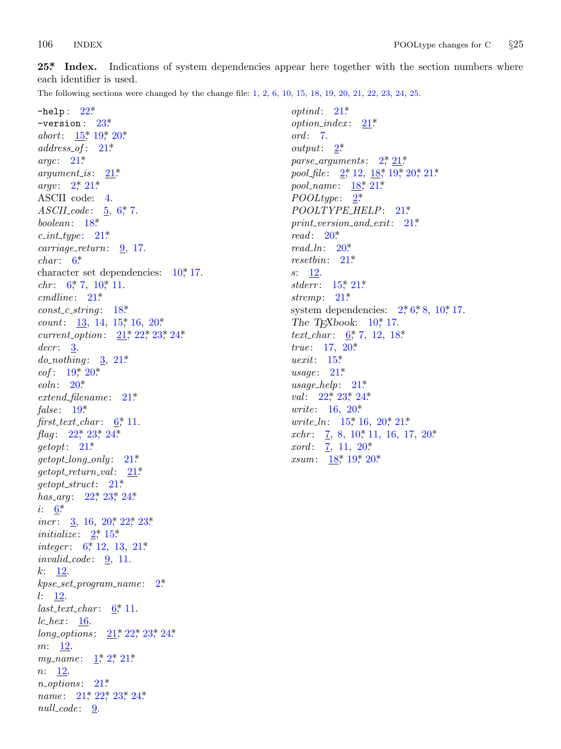25<sup>\*</sup> I[ndex.](#page-3-0) [Ind](#page-3-0)ications of system dependencies appear here [to](#page-1-0)gether with the section numbers where each id[ent](#page-4-0)ifie[r is](#page-4-0) used.

The following sec[tion](#page-4-0)s were changed by the change file: 1, 2, 6, 10, 15, 18, 19, [20](#page-1-0), 21, [22,](#page-3-0) [2](#page-1-0)[3,](#page-3-0) [24](#page-4-0), [25](#page-3-0).

−help : [22\\*.](#page-4-0) −version : 23\*. *abort*: 15,\* 19,\* 20\* *address of* [:](#page-3-0) 21\*. *argc*: 21\*. *argument\_is* :  $21^*$ . *argv*:  $2^*$   $21^*$ ASCII code: 4. *ASCII [c](#page-2-0)ode* : [5](#page-2-0), 6\*, 7. *boolean*: [18\\*.](#page-4-0) *c int type* : 21\*. *carriage return*: [9](#page-3-0), 17. *char* : 6\*. character set dependencies:  $10^*$ , 17. *chr*: 6, 7, 10, [11.](#page-4-0) *cmdli[ne](#page-3-0)* : [21](#page-3-0)\*. *const c [st](#page-3-0)ring* : 18\*. *count*: 13, 14, 15, 16, 20\*. *current [op](#page-3-0)tion*: 21\*, 22\*, 23\*, 24\*. *decr* : 3. *do not[hin](#page-4-0)g* [:](#page-4-0) 3, [2](#page-4-0)1\*. *eof* : 19<sup>\*</sup>, [2](#page-4-0)0<sup>\*</sup> *eoln*: 20\*. *extend filename* : 2[1\\*.](#page-4-0) *false* : 19\*.  $first\_text\_char: 6^*11$  $first\_text\_char: 6^*11$  $first\_text\_char: 6^*11$  $first\_text\_char: 6^*11$  $first\_text\_char: 6^*11$  $first\_text\_char: 6^*11$  $first\_text\_char: 6^*11$ . *flag*[:](#page-2-0) 22<sup>\*</sup>, 23<sup>\*</sup>, 24<sup>\*</sup>. *getopt*: 21\*.  $getopt\_long\_only: 21*$  $getopt\_long\_only: 21*$  $getopt\_long\_only: 21*$  $getopt\_long\_only: 21*$  $getopt\_long\_only: 21*$  $getopt\_return\_val:$  $getopt\_return\_val:$  $getopt\_return\_val:$   $\frac{21^*}{2!}$ *getopt struct*: 21\*. *has\_arg*: 22<sup>\*</sup>, 23<sup>\*</sup>, 24<sup>\*</sup>. *i*: 6<sup>\*</sup>. *incr* : 3, 16, 20, 22, 23\* *initialize* :  $2^*$ , 15\* *integer*: 6,\* 12, 13, 21.\* *invalid\_code* : <u>9</u>, 1[1.](#page-4-0) *k*:  $12$ . *kpse set pro[gr](#page-1-0)a[m](#page-1-0) [nam](#page-4-0)e* : 2\*. *l*: 12.  $last\_text\_char: 6^*11$  $last\_text\_char: 6^*11$  $last\_text\_char: 6^*11$ . *lc hex* : [16](#page-4-0). *long\_options* :  $21^*$ ,  $22^*$ ,  $23^*$ ,  $24^*$ . *m*: 12. *my\_name*: <u>1</u>, 2, 21\* *n*: <u>12</u>. *n options* : 21\*. *name*: 21, 22, 23, 24\* *null\_code* : 9.

*optind* :  $21^*$ *option\_index* :  $21^*$ . *ord* : 7. *output*: 2\*. *parse a[rgu](#page-3-0)ments* : 2\*, 21\*. *pool\_file* : [2\\*,](#page-3-0) 12, 18\*, 19\*, 20\*, 21\*. *pool\_name* [:](#page-4-0)  $18$ <sup>\*</sup>, 21<sup>\*</sup>. *POOLtype* : 2\*. *POOLT[YPE](#page-3-0) [HE](#page-4-0)LP*: 21\*. *print vers[ion](#page-4-0) and exit*: 21\*. *read* : 20\*. *read ln*: 20\*. *resetbin*: 2[1\\*.](#page-2-0) *s*: 12. *stderr* : [15](#page-3-0)\*, 21\*. *strcmp*: [21](#page-4-0)\*. system depe[nde](#page-4-0)ncies:  $2, 6, 8, 10, 17$ . *The [TEXboo](#page-4-0)k*[:](#page-4-0) 10\*, 17. *text\_char* :  $6, 7, 12, 18$ \* *true*: 17, [20](#page-3-0)\* *uexit*: 15\*. *usage*: 21\* *usage h[elp](#page-3-0)*: [21\\*](#page-3-0). *val*: 22<sup>\*</sup>, 23<sup>\*</sup>, 24<sup>\*</sup>. *write*: 16, 20\* *write\_ln*: 15<sup>\*</sup>, 16, 20<sup>\*</sup>, 21<sup>\*</sup> *xchr*: 7, 8, 10, 11, 16, 17, 20\* *xord* : 7, 11, 20\* *xsum*: <u>18</u>\*, 19\*, 20\*.